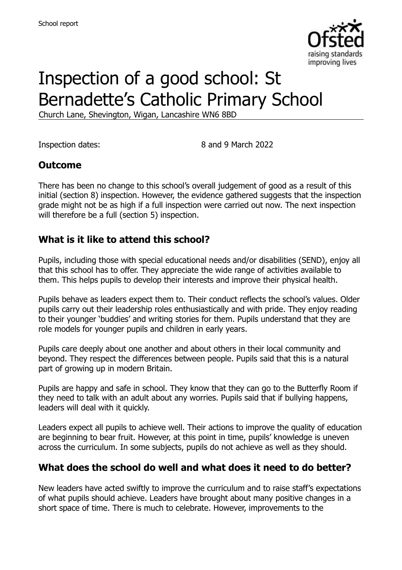

# Inspection of a good school: St Bernadette's Catholic Primary School

Church Lane, Shevington, Wigan, Lancashire WN6 8BD

Inspection dates: 8 and 9 March 2022

### **Outcome**

There has been no change to this school's overall judgement of good as a result of this initial (section 8) inspection. However, the evidence gathered suggests that the inspection grade might not be as high if a full inspection were carried out now. The next inspection will therefore be a full (section 5) inspection.

### **What is it like to attend this school?**

Pupils, including those with special educational needs and/or disabilities (SEND), enjoy all that this school has to offer. They appreciate the wide range of activities available to them. This helps pupils to develop their interests and improve their physical health.

Pupils behave as leaders expect them to. Their conduct reflects the school's values. Older pupils carry out their leadership roles enthusiastically and with pride. They enjoy reading to their younger 'buddies' and writing stories for them. Pupils understand that they are role models for younger pupils and children in early years.

Pupils care deeply about one another and about others in their local community and beyond. They respect the differences between people. Pupils said that this is a natural part of growing up in modern Britain.

Pupils are happy and safe in school. They know that they can go to the Butterfly Room if they need to talk with an adult about any worries. Pupils said that if bullying happens, leaders will deal with it quickly.

Leaders expect all pupils to achieve well. Their actions to improve the quality of education are beginning to bear fruit. However, at this point in time, pupils' knowledge is uneven across the curriculum. In some subjects, pupils do not achieve as well as they should.

### **What does the school do well and what does it need to do better?**

New leaders have acted swiftly to improve the curriculum and to raise staff's expectations of what pupils should achieve. Leaders have brought about many positive changes in a short space of time. There is much to celebrate. However, improvements to the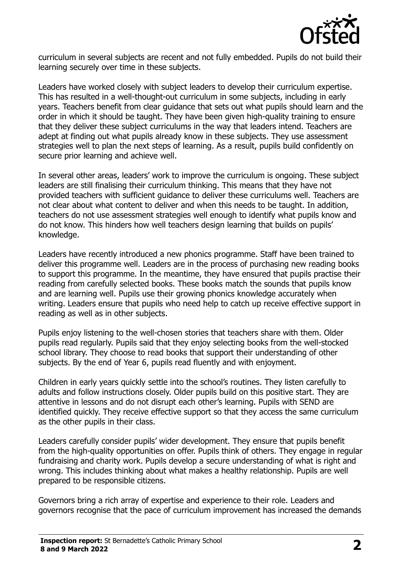

curriculum in several subjects are recent and not fully embedded. Pupils do not build their learning securely over time in these subjects.

Leaders have worked closely with subject leaders to develop their curriculum expertise. This has resulted in a well-thought-out curriculum in some subjects, including in early years. Teachers benefit from clear guidance that sets out what pupils should learn and the order in which it should be taught. They have been given high-quality training to ensure that they deliver these subject curriculums in the way that leaders intend. Teachers are adept at finding out what pupils already know in these subjects. They use assessment strategies well to plan the next steps of learning. As a result, pupils build confidently on secure prior learning and achieve well.

In several other areas, leaders' work to improve the curriculum is ongoing. These subject leaders are still finalising their curriculum thinking. This means that they have not provided teachers with sufficient guidance to deliver these curriculums well. Teachers are not clear about what content to deliver and when this needs to be taught. In addition, teachers do not use assessment strategies well enough to identify what pupils know and do not know. This hinders how well teachers design learning that builds on pupils' knowledge.

Leaders have recently introduced a new phonics programme. Staff have been trained to deliver this programme well. Leaders are in the process of purchasing new reading books to support this programme. In the meantime, they have ensured that pupils practise their reading from carefully selected books. These books match the sounds that pupils know and are learning well. Pupils use their growing phonics knowledge accurately when writing. Leaders ensure that pupils who need help to catch up receive effective support in reading as well as in other subjects.

Pupils enjoy listening to the well-chosen stories that teachers share with them. Older pupils read regularly. Pupils said that they enjoy selecting books from the well-stocked school library. They choose to read books that support their understanding of other subjects. By the end of Year 6, pupils read fluently and with enjoyment.

Children in early years quickly settle into the school's routines. They listen carefully to adults and follow instructions closely. Older pupils build on this positive start. They are attentive in lessons and do not disrupt each other's learning. Pupils with SEND are identified quickly. They receive effective support so that they access the same curriculum as the other pupils in their class.

Leaders carefully consider pupils' wider development. They ensure that pupils benefit from the high-quality opportunities on offer. Pupils think of others. They engage in regular fundraising and charity work. Pupils develop a secure understanding of what is right and wrong. This includes thinking about what makes a healthy relationship. Pupils are well prepared to be responsible citizens.

Governors bring a rich array of expertise and experience to their role. Leaders and governors recognise that the pace of curriculum improvement has increased the demands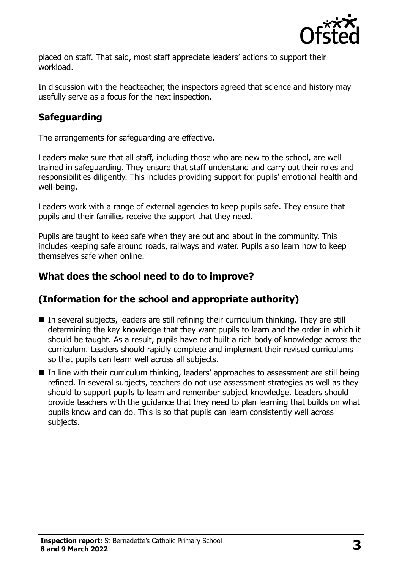

placed on staff. That said, most staff appreciate leaders' actions to support their workload.

In discussion with the headteacher, the inspectors agreed that science and history may usefully serve as a focus for the next inspection.

# **Safeguarding**

The arrangements for safeguarding are effective.

Leaders make sure that all staff, including those who are new to the school, are well trained in safeguarding. They ensure that staff understand and carry out their roles and responsibilities diligently. This includes providing support for pupils' emotional health and well-being.

Leaders work with a range of external agencies to keep pupils safe. They ensure that pupils and their families receive the support that they need.

Pupils are taught to keep safe when they are out and about in the community. This includes keeping safe around roads, railways and water. Pupils also learn how to keep themselves safe when online.

# **What does the school need to do to improve?**

# **(Information for the school and appropriate authority)**

- In several subjects, leaders are still refining their curriculum thinking. They are still determining the key knowledge that they want pupils to learn and the order in which it should be taught. As a result, pupils have not built a rich body of knowledge across the curriculum. Leaders should rapidly complete and implement their revised curriculums so that pupils can learn well across all subjects.
- In line with their curriculum thinking, leaders' approaches to assessment are still being refined. In several subjects, teachers do not use assessment strategies as well as they should to support pupils to learn and remember subject knowledge. Leaders should provide teachers with the guidance that they need to plan learning that builds on what pupils know and can do. This is so that pupils can learn consistently well across subjects.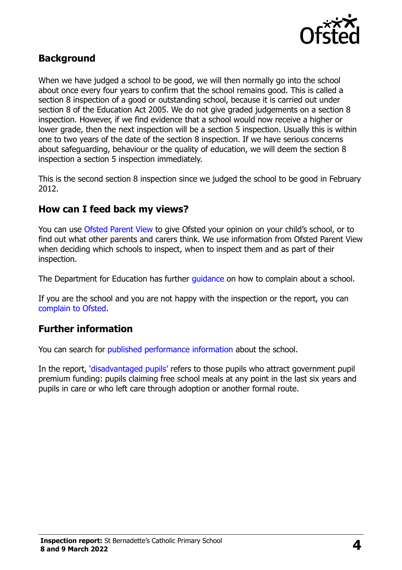

### **Background**

When we have judged a school to be good, we will then normally go into the school about once every four years to confirm that the school remains good. This is called a section 8 inspection of a good or outstanding school, because it is carried out under section 8 of the Education Act 2005. We do not give graded judgements on a section 8 inspection. However, if we find evidence that a school would now receive a higher or lower grade, then the next inspection will be a section 5 inspection. Usually this is within one to two years of the date of the section 8 inspection. If we have serious concerns about safeguarding, behaviour or the quality of education, we will deem the section 8 inspection a section 5 inspection immediately.

This is the second section 8 inspection since we judged the school to be good in February 2012.

#### **How can I feed back my views?**

You can use [Ofsted Parent View](https://parentview.ofsted.gov.uk/) to give Ofsted your opinion on your child's school, or to find out what other parents and carers think. We use information from Ofsted Parent View when deciding which schools to inspect, when to inspect them and as part of their inspection.

The Department for Education has further quidance on how to complain about a school.

If you are the school and you are not happy with the inspection or the report, you can [complain to Ofsted.](https://www.gov.uk/complain-ofsted-report)

### **Further information**

You can search for [published performance information](http://www.compare-school-performance.service.gov.uk/) about the school.

In the report, '[disadvantaged pupils](http://www.gov.uk/guidance/pupil-premium-information-for-schools-and-alternative-provision-settings)' refers to those pupils who attract government pupil premium funding: pupils claiming free school meals at any point in the last six years and pupils in care or who left care through adoption or another formal route.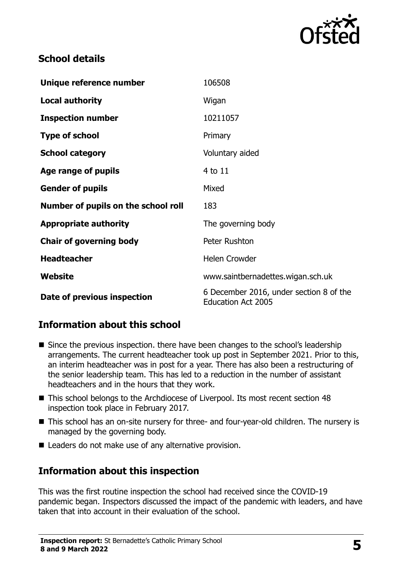

# **School details**

| Unique reference number             | 106508                                                               |
|-------------------------------------|----------------------------------------------------------------------|
| <b>Local authority</b>              | Wigan                                                                |
| <b>Inspection number</b>            | 10211057                                                             |
| <b>Type of school</b>               | Primary                                                              |
| <b>School category</b>              | Voluntary aided                                                      |
| Age range of pupils                 | 4 to 11                                                              |
| <b>Gender of pupils</b>             | Mixed                                                                |
| Number of pupils on the school roll | 183                                                                  |
| <b>Appropriate authority</b>        | The governing body                                                   |
| <b>Chair of governing body</b>      | Peter Rushton                                                        |
| <b>Headteacher</b>                  | <b>Helen Crowder</b>                                                 |
| Website                             | www.saintbernadettes.wigan.sch.uk                                    |
| Date of previous inspection         | 6 December 2016, under section 8 of the<br><b>Education Act 2005</b> |

# **Information about this school**

- Since the previous inspection. there have been changes to the school's leadership arrangements. The current headteacher took up post in September 2021. Prior to this, an interim headteacher was in post for a year. There has also been a restructuring of the senior leadership team. This has led to a reduction in the number of assistant headteachers and in the hours that they work.
- This school belongs to the Archdiocese of Liverpool. Its most recent section 48 inspection took place in February 2017.
- This school has an on-site nursery for three- and four-year-old children. The nursery is managed by the governing body.
- Leaders do not make use of any alternative provision.

# **Information about this inspection**

This was the first routine inspection the school had received since the COVID-19 pandemic began. Inspectors discussed the impact of the pandemic with leaders, and have taken that into account in their evaluation of the school.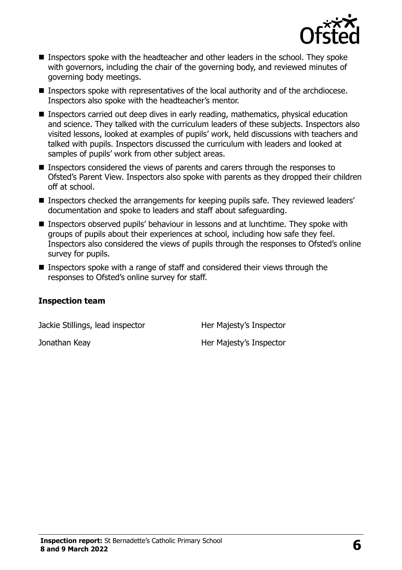

- Inspectors spoke with the headteacher and other leaders in the school. They spoke with governors, including the chair of the governing body, and reviewed minutes of governing body meetings.
- Inspectors spoke with representatives of the local authority and of the archdiocese. Inspectors also spoke with the headteacher's mentor.
- **Inspectors carried out deep dives in early reading, mathematics, physical education** and science. They talked with the curriculum leaders of these subjects. Inspectors also visited lessons, looked at examples of pupils' work, held discussions with teachers and talked with pupils. Inspectors discussed the curriculum with leaders and looked at samples of pupils' work from other subject areas.
- Inspectors considered the views of parents and carers through the responses to Ofsted's Parent View. Inspectors also spoke with parents as they dropped their children off at school.
- **Inspectors checked the arrangements for keeping pupils safe. They reviewed leaders'** documentation and spoke to leaders and staff about safeguarding.
- Inspectors observed pupils' behaviour in lessons and at lunchtime. They spoke with groups of pupils about their experiences at school, including how safe they feel. Inspectors also considered the views of pupils through the responses to Ofsted's online survey for pupils.
- Inspectors spoke with a range of staff and considered their views through the responses to Ofsted's online survey for staff.

#### **Inspection team**

Jackie Stillings, lead inspector **Her Majesty's Inspector** 

Jonathan Keay **Her Majesty's Inspector**